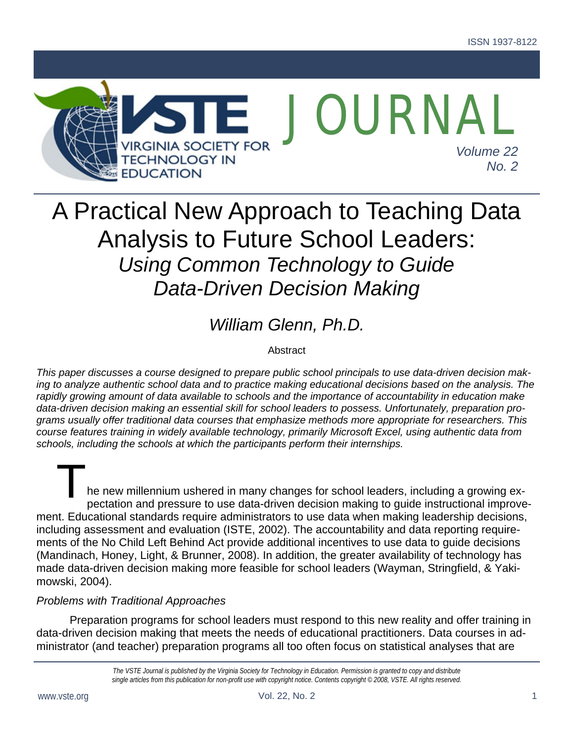

# A Practical New Approach to Teaching Data Analysis to Future School Leaders: *Using Common Technology to Guide Data-Driven Decision Making*

## *William Glenn, Ph.D.*

#### **Abstract**

*This paper discusses a course designed to prepare public school principals to use data-driven decision making to analyze authentic school data and to practice making educational decisions based on the analysis. The rapidly growing amount of data available to schools and the importance of accountability in education make data-driven decision making an essential skill for school leaders to possess. Unfortunately, preparation programs usually offer traditional data courses that emphasize methods more appropriate for researchers. This course features training in widely available technology, primarily Microsoft Excel, using authentic data from schools, including the schools at which the participants perform their internships.* 

he new millennium ushered in many changes for school leaders, including a growing expectation and pressure to use data-driven decision making to guide instructional improvement. Educational standards require administrators to use data when making leadership decisions, including assessment and evaluation (ISTE, 2002). The accountability and data reporting requirements of the No Child Left Behind Act provide additional incentives to use data to guide decisions (Mandinach, Honey, Light, & Brunner, 2008). In addition, the greater availability of technology has made data-driven decision making more feasible for school leaders (Wayman, Stringfield, & Yakimowski, 2004).  $T_{\text{he ne}}$ 

#### *Problems with Traditional Approaches*

Preparation programs for school leaders must respond to this new reality and offer training in data-driven decision making that meets the needs of educational practitioners. Data courses in administrator (and teacher) preparation programs all too often focus on statistical analyses that are

> *The VSTE Journal is published by the Virginia Society for Technology in Education. Permission is granted to copy and distribute single articles from this publication for non-profit use with copyright notice. Contents copyright © 2008, VSTE. All rights reserved.*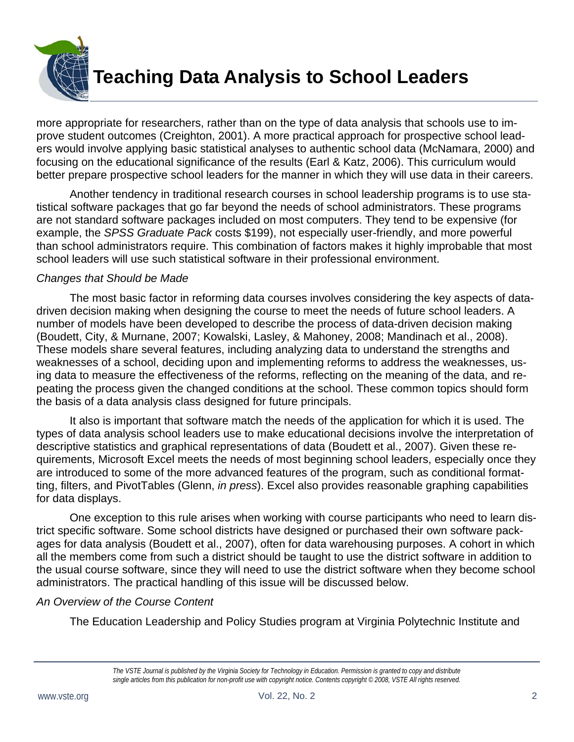

more appropriate for researchers, rather than on the type of data analysis that schools use to improve student outcomes (Creighton, 2001). A more practical approach for prospective school leaders would involve applying basic statistical analyses to authentic school data (McNamara, 2000) and focusing on the educational significance of the results (Earl & Katz, 2006). This curriculum would better prepare prospective school leaders for the manner in which they will use data in their careers.

Another tendency in traditional research courses in school leadership programs is to use statistical software packages that go far beyond the needs of school administrators. These programs are not standard software packages included on most computers. They tend to be expensive (for example, the *SPSS Graduate Pack* costs \$199), not especially user-friendly, and more powerful than school administrators require. This combination of factors makes it highly improbable that most school leaders will use such statistical software in their professional environment.

#### *Changes that Should be Made*

The most basic factor in reforming data courses involves considering the key aspects of datadriven decision making when designing the course to meet the needs of future school leaders. A number of models have been developed to describe the process of data-driven decision making (Boudett, City, & Murnane, 2007; Kowalski, Lasley, & Mahoney, 2008; Mandinach et al., 2008). These models share several features, including analyzing data to understand the strengths and weaknesses of a school, deciding upon and implementing reforms to address the weaknesses, using data to measure the effectiveness of the reforms, reflecting on the meaning of the data, and repeating the process given the changed conditions at the school. These common topics should form the basis of a data analysis class designed for future principals.

It also is important that software match the needs of the application for which it is used. The types of data analysis school leaders use to make educational decisions involve the interpretation of descriptive statistics and graphical representations of data (Boudett et al., 2007). Given these requirements, Microsoft Excel meets the needs of most beginning school leaders, especially once they are introduced to some of the more advanced features of the program, such as conditional formatting, filters, and PivotTables (Glenn, *in press*). Excel also provides reasonable graphing capabilities for data displays.

One exception to this rule arises when working with course participants who need to learn district specific software. Some school districts have designed or purchased their own software packages for data analysis (Boudett et al., 2007), often for data warehousing purposes. A cohort in which all the members come from such a district should be taught to use the district software in addition to the usual course software, since they will need to use the district software when they become school administrators. The practical handling of this issue will be discussed below.

#### *An Overview of the Course Content*

The Education Leadership and Policy Studies program at Virginia Polytechnic Institute and

*The VSTE Journal is published by the Virginia Society for Technology in Education. Permission is granted to copy and distribute single articles from this publication for non-profit use with copyright notice. Contents copyright © 2008, VSTE All rights reserved.*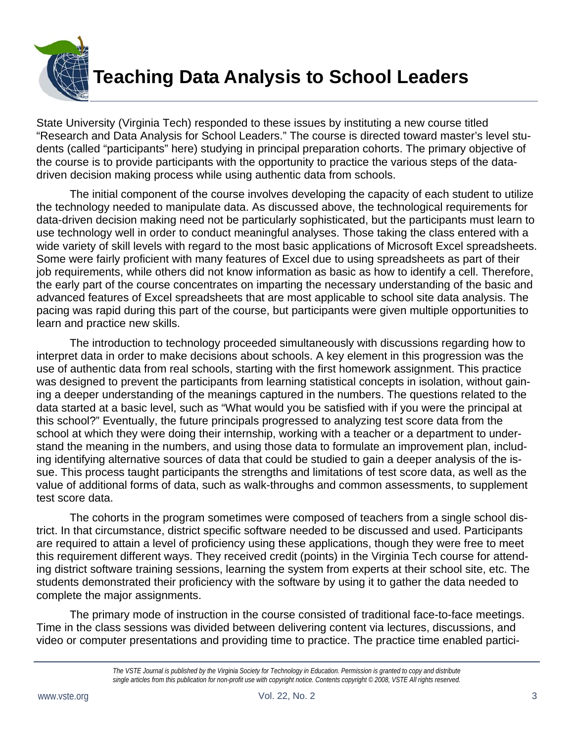

State University (Virginia Tech) responded to these issues by instituting a new course titled "Research and Data Analysis for School Leaders." The course is directed toward master's level students (called "participants" here) studying in principal preparation cohorts. The primary objective of the course is to provide participants with the opportunity to practice the various steps of the datadriven decision making process while using authentic data from schools.

The initial component of the course involves developing the capacity of each student to utilize the technology needed to manipulate data. As discussed above, the technological requirements for data-driven decision making need not be particularly sophisticated, but the participants must learn to use technology well in order to conduct meaningful analyses. Those taking the class entered with a wide variety of skill levels with regard to the most basic applications of Microsoft Excel spreadsheets. Some were fairly proficient with many features of Excel due to using spreadsheets as part of their job requirements, while others did not know information as basic as how to identify a cell. Therefore, the early part of the course concentrates on imparting the necessary understanding of the basic and advanced features of Excel spreadsheets that are most applicable to school site data analysis. The pacing was rapid during this part of the course, but participants were given multiple opportunities to learn and practice new skills.

The introduction to technology proceeded simultaneously with discussions regarding how to interpret data in order to make decisions about schools. A key element in this progression was the use of authentic data from real schools, starting with the first homework assignment. This practice was designed to prevent the participants from learning statistical concepts in isolation, without gaining a deeper understanding of the meanings captured in the numbers. The questions related to the data started at a basic level, such as "What would you be satisfied with if you were the principal at this school?" Eventually, the future principals progressed to analyzing test score data from the school at which they were doing their internship, working with a teacher or a department to understand the meaning in the numbers, and using those data to formulate an improvement plan, including identifying alternative sources of data that could be studied to gain a deeper analysis of the issue. This process taught participants the strengths and limitations of test score data, as well as the value of additional forms of data, such as walk-throughs and common assessments, to supplement test score data.

The cohorts in the program sometimes were composed of teachers from a single school district. In that circumstance, district specific software needed to be discussed and used. Participants are required to attain a level of proficiency using these applications, though they were free to meet this requirement different ways. They received credit (points) in the Virginia Tech course for attending district software training sessions, learning the system from experts at their school site, etc. The students demonstrated their proficiency with the software by using it to gather the data needed to complete the major assignments.

The primary mode of instruction in the course consisted of traditional face-to-face meetings. Time in the class sessions was divided between delivering content via lectures, discussions, and video or computer presentations and providing time to practice. The practice time enabled partici-

*The VSTE Journal is published by the Virginia Society for Technology in Education. Permission is granted to copy and distribute single articles from this publication for non-profit use with copyright notice. Contents copyright © 2008, VSTE All rights reserved.*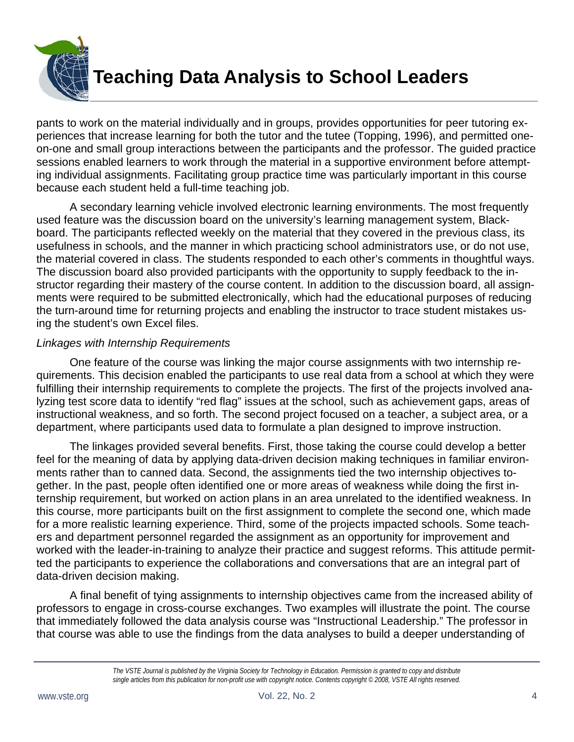

pants to work on the material individually and in groups, provides opportunities for peer tutoring experiences that increase learning for both the tutor and the tutee (Topping, 1996), and permitted oneon-one and small group interactions between the participants and the professor. The guided practice sessions enabled learners to work through the material in a supportive environment before attempting individual assignments. Facilitating group practice time was particularly important in this course because each student held a full-time teaching job.

A secondary learning vehicle involved electronic learning environments. The most frequently used feature was the discussion board on the university's learning management system, Blackboard. The participants reflected weekly on the material that they covered in the previous class, its usefulness in schools, and the manner in which practicing school administrators use, or do not use, the material covered in class. The students responded to each other's comments in thoughtful ways. The discussion board also provided participants with the opportunity to supply feedback to the instructor regarding their mastery of the course content. In addition to the discussion board, all assignments were required to be submitted electronically, which had the educational purposes of reducing the turn-around time for returning projects and enabling the instructor to trace student mistakes using the student's own Excel files.

#### *Linkages with Internship Requirements*

One feature of the course was linking the major course assignments with two internship requirements. This decision enabled the participants to use real data from a school at which they were fulfilling their internship requirements to complete the projects. The first of the projects involved analyzing test score data to identify "red flag" issues at the school, such as achievement gaps, areas of instructional weakness, and so forth. The second project focused on a teacher, a subject area, or a department, where participants used data to formulate a plan designed to improve instruction.

The linkages provided several benefits. First, those taking the course could develop a better feel for the meaning of data by applying data-driven decision making techniques in familiar environments rather than to canned data. Second, the assignments tied the two internship objectives together. In the past, people often identified one or more areas of weakness while doing the first internship requirement, but worked on action plans in an area unrelated to the identified weakness. In this course, more participants built on the first assignment to complete the second one, which made for a more realistic learning experience. Third, some of the projects impacted schools. Some teachers and department personnel regarded the assignment as an opportunity for improvement and worked with the leader-in-training to analyze their practice and suggest reforms. This attitude permitted the participants to experience the collaborations and conversations that are an integral part of data-driven decision making.

A final benefit of tying assignments to internship objectives came from the increased ability of professors to engage in cross-course exchanges. Two examples will illustrate the point. The course that immediately followed the data analysis course was "Instructional Leadership." The professor in that course was able to use the findings from the data analyses to build a deeper understanding of

*The VSTE Journal is published by the Virginia Society for Technology in Education. Permission is granted to copy and distribute single articles from this publication for non-profit use with copyright notice. Contents copyright © 2008, VSTE All rights reserved.*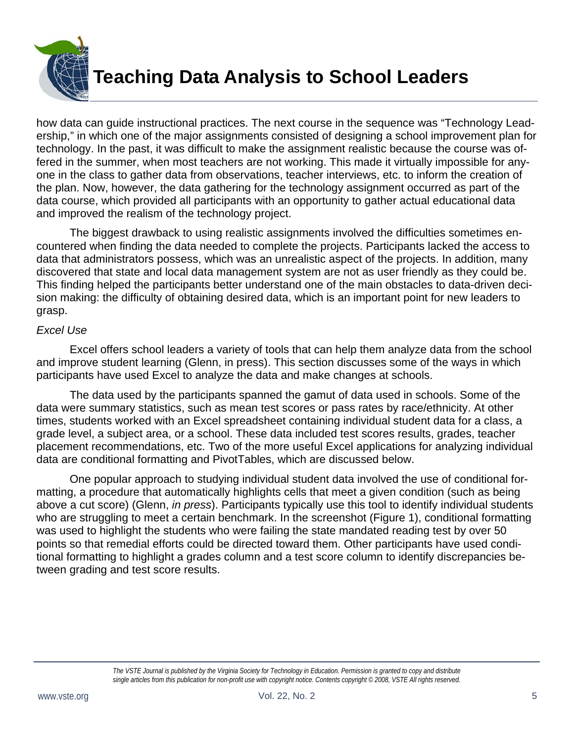

how data can guide instructional practices. The next course in the sequence was "Technology Leadership," in which one of the major assignments consisted of designing a school improvement plan for technology. In the past, it was difficult to make the assignment realistic because the course was offered in the summer, when most teachers are not working. This made it virtually impossible for anyone in the class to gather data from observations, teacher interviews, etc. to inform the creation of the plan. Now, however, the data gathering for the technology assignment occurred as part of the data course, which provided all participants with an opportunity to gather actual educational data and improved the realism of the technology project.

The biggest drawback to using realistic assignments involved the difficulties sometimes encountered when finding the data needed to complete the projects. Participants lacked the access to data that administrators possess, which was an unrealistic aspect of the projects. In addition, many discovered that state and local data management system are not as user friendly as they could be. This finding helped the participants better understand one of the main obstacles to data-driven decision making: the difficulty of obtaining desired data, which is an important point for new leaders to grasp.

#### *Excel Use*

Excel offers school leaders a variety of tools that can help them analyze data from the school and improve student learning (Glenn, in press). This section discusses some of the ways in which participants have used Excel to analyze the data and make changes at schools.

The data used by the participants spanned the gamut of data used in schools. Some of the data were summary statistics, such as mean test scores or pass rates by race/ethnicity. At other times, students worked with an Excel spreadsheet containing individual student data for a class, a grade level, a subject area, or a school. These data included test scores results, grades, teacher placement recommendations, etc. Two of the more useful Excel applications for analyzing individual data are conditional formatting and PivotTables, which are discussed below.

One popular approach to studying individual student data involved the use of conditional formatting, a procedure that automatically highlights cells that meet a given condition (such as being above a cut score) (Glenn, *in press*). Participants typically use this tool to identify individual students who are struggling to meet a certain benchmark. In the screenshot (Figure 1), conditional formatting was used to highlight the students who were failing the state mandated reading test by over 50 points so that remedial efforts could be directed toward them. Other participants have used conditional formatting to highlight a grades column and a test score column to identify discrepancies between grading and test score results.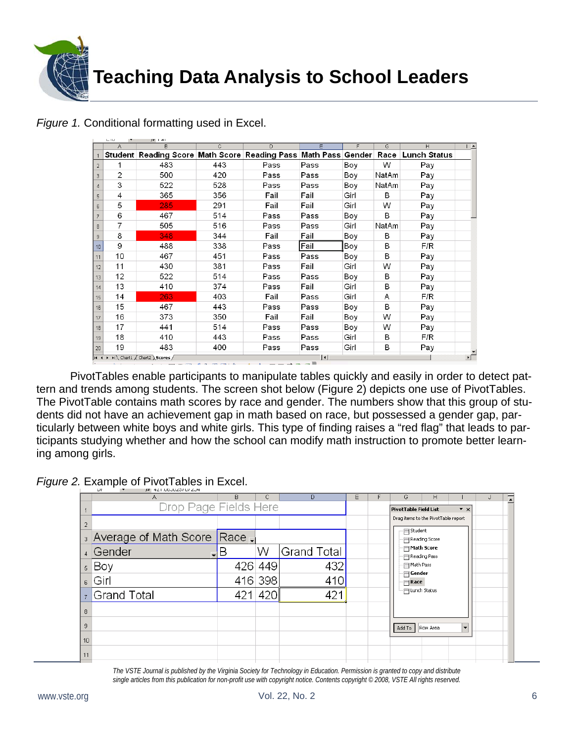

|                                                             | A  | $\overline{B}$                                                                   | $\mathbb{C}$ | $\overline{D}$ | E.<br>F. |      | G     | H   |  |  |
|-------------------------------------------------------------|----|----------------------------------------------------------------------------------|--------------|----------------|----------|------|-------|-----|--|--|
|                                                             |    | Student Reading Score Math Score Reading Pass Math Pass Gender Race Lunch Status |              |                |          |      |       |     |  |  |
| $\overline{2}$                                              |    | 483                                                                              | 443          | Pass           | Pass     | Boy  | W     | Pay |  |  |
| 3                                                           | 2  | 500                                                                              | 420          | Pass           | Pass     | Boy  | NatAm | Pay |  |  |
| $\overline{4}$                                              | 3  | 522                                                                              | 528          | Pass           | Pass     | Boy  | NatAm | Pay |  |  |
| 5                                                           | 4  | 365                                                                              | 356          | Fail           | Fail     | Girl | B     | Pay |  |  |
| 6                                                           | 5  | 285                                                                              | 291          | Fail           | Fail     | Girl | W     | Pay |  |  |
|                                                             | 6  | 467                                                                              | 514          | Pass           | Pass     | Boy  | B     | Pay |  |  |
| 8                                                           | 7  | 505                                                                              | 516          | Pass           | Pass     | Girl | NatAm | Pay |  |  |
| 9                                                           | 8  | 348                                                                              | 344          | Fail           | Fail     | Boy  | B     | Pay |  |  |
| 10                                                          | 9  | 488                                                                              | 338          | Pass           | Fail     | Boy  | B     | F/R |  |  |
| 11                                                          | 10 | 467                                                                              | 451          | Pass           | Pass     | Boy  | B     | Pay |  |  |
| 12                                                          | 11 | 430                                                                              | 381          | Pass           | Fail     | Girl | W     | Pay |  |  |
| 13                                                          | 12 | 522                                                                              | 514          | Pass           | Pass     | Boy  | B     | Pay |  |  |
| 14                                                          | 13 | 410                                                                              | 374          | Pass           | Fail     | Girl | B     | Pay |  |  |
| 15                                                          | 14 | 263                                                                              | 403          | Fail           | Pass     | Girl | A     | F/R |  |  |
| 16                                                          | 15 | 467                                                                              | 443          | Pass           | Pass     | Boy  | B     | Pay |  |  |
| 17                                                          | 16 | 373                                                                              | 350          | Fail           | Fail     | Boy  | W     | Pay |  |  |
| 18                                                          | 17 | 441                                                                              | 514          | Pass           | Pass     | Boy  | W     | Pay |  |  |
| 19                                                          | 18 | 410                                                                              | 443          | Pass           | Pass     | Girl | B     | F/R |  |  |
| 20                                                          | 19 | 483                                                                              | 400          | Pass           | Pass     | Girl | B     | Pay |  |  |
| $\vert\vert\vert\vert$<br>II I > H Chart1 / Chart2 Scores / |    |                                                                                  |              |                |          |      |       |     |  |  |

*Figure 1.* Conditional formatting used in Excel.  $\frac{1}{2}$ 

 $\sim$ 

 $\mathbf{u}$ 

 PivotTables enable participants to manipulate tables quickly and easily in order to detect pattern and trends among students. The screen shot below (Figure 2) depicts one use of PivotTables. The PivotTable contains math scores by race and gender. The numbers show that this group of students did not have an achievement gap in math based on race, but possessed a gender gap, particularly between white boys and white girls. This type of finding raises a "red flag" that leads to participants studying whether and how the school can modify math instruction to promote better learning among girls.

*Figure 2.* Example of PivotTables in Excel.

|                | A                             | B   | C       | D           | E | F                            | G                                                     | H        |                          | π |  |
|----------------|-------------------------------|-----|---------|-------------|---|------------------------------|-------------------------------------------------------|----------|--------------------------|---|--|
|                | Drop Page Fields Here         |     |         |             |   |                              | <b>PivotTable Field List</b><br>$\mathbf{v}$ $\times$ |          |                          |   |  |
| $\overline{2}$ |                               |     |         |             |   |                              | Drag items to the PivotTable report                   |          |                          |   |  |
|                | 3 Average of Math Score Race, |     |         |             |   | Student<br>· ⊟ Reading Score |                                                       |          |                          |   |  |
| $\overline{4}$ | Gender<br>$\blacksquare$      | Β   | W       | Grand Total |   |                              | ⊟ Math Score<br>⊞ Reading Pass                        |          |                          |   |  |
| 5 <sup>1</sup> | Boy                           |     | 426 449 | 432         |   |                              | Math Pass<br>$\boxminus$ Gender                       |          |                          |   |  |
| 6 <sup>1</sup> | Girl                          |     | 416 398 | 410         |   |                              | $\equiv$ Race                                         |          |                          |   |  |
| 7 <sup>1</sup> | <b>Grand Total</b>            | 421 | 420     | 421         |   |                              | 日 Lunch Status                                        |          |                          |   |  |
| 8              |                               |     |         |             |   |                              |                                                       |          |                          |   |  |
| 9              |                               |     |         |             |   |                              | Add To                                                | Row Area | $\overline{\phantom{0}}$ |   |  |
| 10             |                               |     |         |             |   |                              |                                                       |          |                          |   |  |
| 11             |                               |     |         |             |   |                              |                                                       |          |                          |   |  |

*The VSTE Journal is published by the Virginia Society for Technology in Education. Permission is granted to copy and distribute single articles from this publication for non-profit use with copyright notice. Contents copyright © 2008, VSTE All rights reserved.*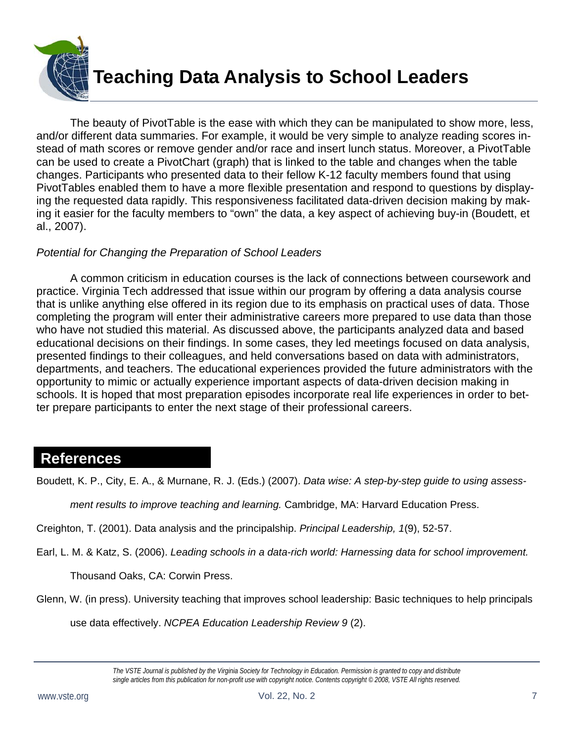

 The beauty of PivotTable is the ease with which they can be manipulated to show more, less, and/or different data summaries. For example, it would be very simple to analyze reading scores instead of math scores or remove gender and/or race and insert lunch status. Moreover, a PivotTable can be used to create a PivotChart (graph) that is linked to the table and changes when the table changes. Participants who presented data to their fellow K-12 faculty members found that using PivotTables enabled them to have a more flexible presentation and respond to questions by displaying the requested data rapidly. This responsiveness facilitated data-driven decision making by making it easier for the faculty members to "own" the data, a key aspect of achieving buy-in (Boudett, et al., 2007).

#### *Potential for Changing the Preparation of School Leaders*

 A common criticism in education courses is the lack of connections between coursework and practice. Virginia Tech addressed that issue within our program by offering a data analysis course that is unlike anything else offered in its region due to its emphasis on practical uses of data. Those completing the program will enter their administrative careers more prepared to use data than those who have not studied this material. As discussed above, the participants analyzed data and based educational decisions on their findings. In some cases, they led meetings focused on data analysis, presented findings to their colleagues, and held conversations based on data with administrators, departments, and teachers. The educational experiences provided the future administrators with the opportunity to mimic or actually experience important aspects of data-driven decision making in schools. It is hoped that most preparation episodes incorporate real life experiences in order to better prepare participants to enter the next stage of their professional careers.

### **References**

Boudett, K. P., City, E. A., & Murnane, R. J. (Eds.) (2007). *Data wise: A step-by-step guide to using assess-*

*ment results to improve teaching and learning.* Cambridge, MA: Harvard Education Press.

Creighton, T. (2001). Data analysis and the principalship. *Principal Leadership, 1*(9), 52-57.

Earl, L. M. & Katz, S. (2006). *Leading schools in a data-rich world: Harnessing data for school improvement.* 

Thousand Oaks, CA: Corwin Press.

Glenn, W. (in press). University teaching that improves school leadership: Basic techniques to help principals

use data effectively. *NCPEA Education Leadership Review 9* (2).

*The VSTE Journal is published by the Virginia Society for Technology in Education. Permission is granted to copy and distribute single articles from this publication for non-profit use with copyright notice. Contents copyright © 2008, VSTE All rights reserved.*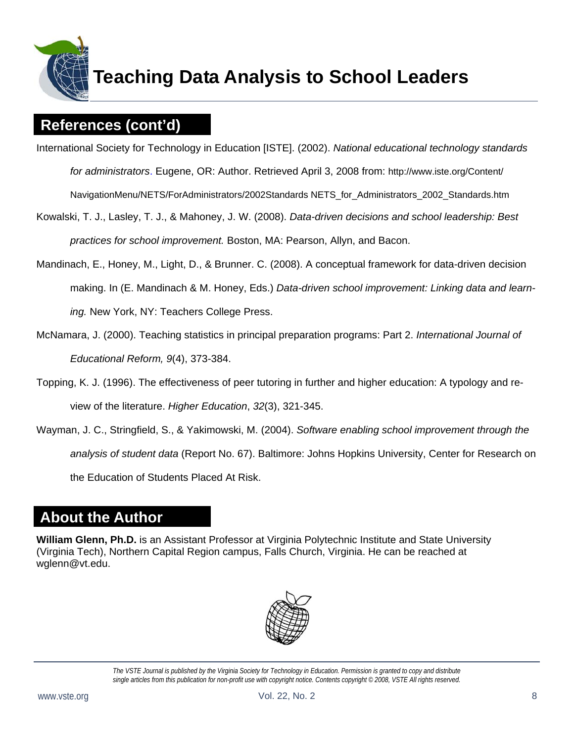

### **References (cont'd)**

International Society for Technology in Education [ISTE]. (2002). *National educational technology standards* 

*for administrators*. Eugene, OR: Author. Retrieved April 3, 2008 from: http://www.iste.org/Content/

NavigationMenu/NETS/ForAdministrators/2002Standards NETS\_for\_Administrators\_2002\_Standards.htm

- Kowalski, T. J., Lasley, T. J., & Mahoney, J. W. (2008). *Data-driven decisions and school leadership: Best practices for school improvement.* Boston, MA: Pearson, Allyn, and Bacon.
- Mandinach, E., Honey, M., Light, D., & Brunner. C. (2008). A conceptual framework for data-driven decision making. In (E. Mandinach & M. Honey, Eds.) *Data-driven school improvement: Linking data and learning.* New York, NY: Teachers College Press.
- McNamara, J. (2000). Teaching statistics in principal preparation programs: Part 2. *International Journal of Educational Reform, 9*(4), 373-384.
- Topping, K. J. (1996). The effectiveness of peer tutoring in further and higher education: A typology and review of the literature. *Higher Education*, *32*(3), 321-345.
- Wayman, J. C., Stringfield, S., & Yakimowski, M. (2004). *Software enabling school improvement through the analysis of student data* (Report No. 67). Baltimore: Johns Hopkins University, Center for Research on the Education of Students Placed At Risk.

## **About the Author**

**William Glenn, Ph.D.** is an Assistant Professor at Virginia Polytechnic Institute and State University (Virginia Tech), Northern Capital Region campus, Falls Church, Virginia. He can be reached at wglenn@vt.edu.



*The VSTE Journal is published by the Virginia Society for Technology in Education. Permission is granted to copy and distribute single articles from this publication for non-profit use with copyright notice. Contents copyright © 2008, VSTE All rights reserved.*